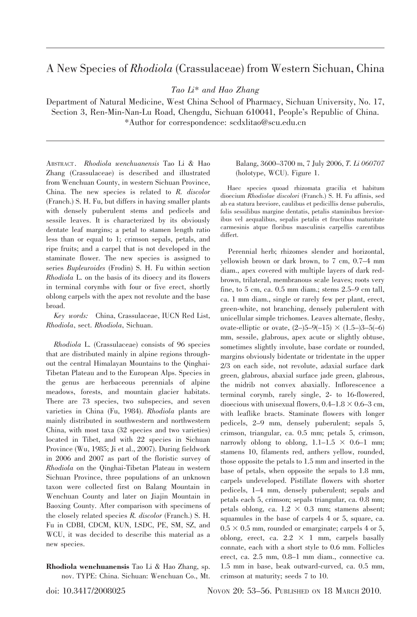## A New Species of Rhodiola (Crassulaceae) from Western Sichuan, China

Tao Li\* and Hao Zhang

Department of Natural Medicine, West China School of Pharmacy, Sichuan University, No. 17, Section 3, Ren-Min-Nan-Lu Road, Chengdu, Sichuan 610041, People's Republic of China. \*Author for correspondence: scdxlitao@scu.edu.cn

ABSTRACT . Rhodiola wenchuanensis Tao Li & Hao Zhang (Crassulaceae) is described and illustrated from Wenchuan County, in western Sichuan Province, China. The new species is related to R. discolor (Franch.) S. H. Fu, but differs in having smaller plants with densely puberulent stems and pedicels and sessile leaves. It is characterized by its obviously dentate leaf margins; a petal to stamen length ratio less than or equal to 1; crimson sepals, petals, and ripe fruits; and a carpel that is not developed in the staminate flower. The new species is assigned to series Bupleuroides (Frodin) S. H. Fu within section Rhodiola L. on the basis of its dioecy and its flowers in terminal corymbs with four or five erect, shortly oblong carpels with the apex not revolute and the base broad.

Key words: China, Crassulaceae, IUCN Red List, Rhodiola, sect. Rhodiola, Sichuan.

Rhodiola L. (Crassulaceae) consists of 96 species that are distributed mainly in alpine regions throughout the central Himalayan Mountains to the Qinghai-Tibetan Plateau and to the European Alps. Species in the genus are herbaceous perennials of alpine meadows, forests, and mountain glacier habitats. There are 73 species, two subspecies, and seven varieties in China (Fu, 1984). Rhodiola plants are mainly distributed in southwestern and northwestern China, with most taxa (32 species and two varieties) located in Tibet, and with 22 species in Sichuan Province (Wu, 1985; Ji et al., 2007). During fieldwork in 2006 and 2007 as part of the floristic survey of Rhodiola on the Qinghai-Tibetan Plateau in western Sichuan Province, three populations of an unknown taxon were collected first on Balang Mountain in Wenchuan County and later on Jiajin Mountain in Baoxing County. After comparison with specimens of the closely related species R. discolor (Franch.) S. H. Fu in CDBI, CDCM, KUN, LSDC, PE, SM, SZ, and WCU, it was decided to describe this material as a new species.

Rhodiola wenchuanensis Tao Li & Hao Zhang, sp. nov. TYPE: China. Sichuan: Wenchuan Co., Mt.

## Balang, 3600–3700 m, 7 July 2006, T. Li 060707 (holotype, WCU). Figure 1.

Haec species quoad rhizomata gracilia et habitum dioecium Rhodiolae discolori (Franch.) S. H. Fu affinis, sed ab ea statura breviore, caulibus et pedicillis dense puberulis, folis sessilibus margine dentatis, petalis staminibus brevioribus vel aequalibus, sepalis petalis et fructibus maturitate carmesinis atque floribus masculinis carpellis carentibus differt.

Perennial herb; rhizomes slender and horizontal, yellowish brown or dark brown, to 7 cm, 0.7–4 mm diam., apex covered with multiple layers of dark redbrown, trilateral, membranous scale leaves; roots very fine, to 5 cm, ca. 0.5 mm diam.; stems 2.5–9 cm tall, ca. 1 mm diam., single or rarely few per plant, erect, green-white, not branching, densely puberulent with unicellular simple trichomes. Leaves alternate, fleshy, ovate-elliptic or ovate,  $(2-)5-9(-15) \times (1.5-)3-5(-6)$ mm, sessile, glabrous, apex acute or slightly obtuse, sometimes slightly involute, base cordate or rounded, margins obviously bidentate or tridentate in the upper 2/3 on each side, not revolute, adaxial surface dark green, glabrous, abaxial surface jade green, glabrous, the midrib not convex abaxially. Inflorescence a terminal corymb, rarely single, 2- to 16-flowered, dioecious with unisexual flowers,  $0.4-1.8 \times 0.6-3$  cm, with leaflike bracts. Staminate flowers with longer pedicels, 2–9 mm, densely puberulent; sepals 5, crimson, triangular, ca. 0.5 mm; petals 5, crimson, narrowly oblong to oblong,  $1.1-1.5 \times 0.6-1$  mm; stamens 10, filaments red, anthers yellow, rounded, those opposite the petals to 1.5 mm and inserted in the base of petals, when opposite the sepals to 1.8 mm, carpels undeveloped. Pistillate flowers with shorter pedicels, 1–4 mm, densely puberulent; sepals and petals each 5, crimson; sepals triangular, ca. 0.8 mm; petals oblong, ca.  $1.2 \times 0.3$  mm; stamens absent; squamules in the base of carpels 4 or 5, square, ca.  $0.5 \times 0.5$  mm, rounded or emarginate; carpels 4 or 5, oblong, erect, ca.  $2.2 \times 1$  mm, carpels basally connate, each with a short style to 0.6 mm. Follicles erect, ca. 2.5 mm, 0.8–1 mm diam., connective ca. 1.5 mm in base, beak outward-curved, ca. 0.5 mm, crimson at maturity; seeds 7 to 10.

doi: 10.3417/2008025 NOVON 20: 53–56. PUBLISHED ON 18 MARCH 2010.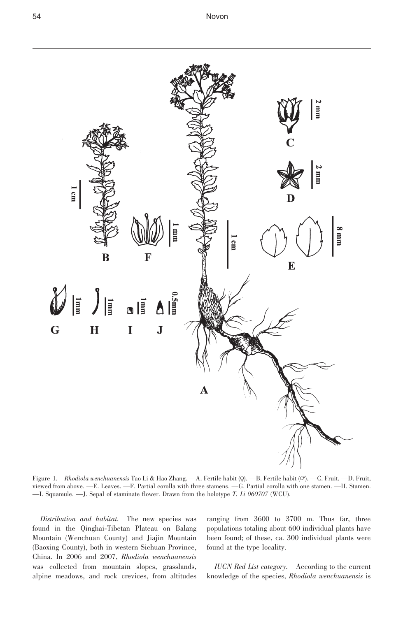

Figure 1. Rhodiola wenchuanensis Tao Li & Hao Zhang. —A. Fertile habit (Q). —B. Fertile habit (O). —C. Fruit. —D. Fruit, viewed from above. —E. Leaves. —F. Partial corolla with three stamens. —G. Partial corolla with one stamen. —H. Stamen. —I. Squamule. —J. Sepal of staminate flower. Drawn from the holotype T. Li 060707 (WCU).

Distribution and habitat. The new species was found in the Qinghai-Tibetan Plateau on Balang Mountain (Wenchuan County) and Jiajin Mountain (Baoxing County), both in western Sichuan Province, China. In 2006 and 2007, Rhodiola wenchuanensis was collected from mountain slopes, grasslands, alpine meadows, and rock crevices, from altitudes ranging from 3600 to 3700 m. Thus far, three populations totaling about 600 individual plants have been found; of these, ca. 300 individual plants were found at the type locality.

IUCN Red List category. According to the current knowledge of the species, Rhodiola wenchuanensis is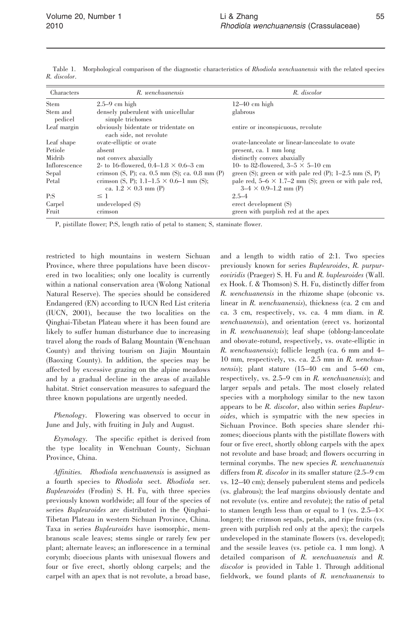| Characters          | R. wenchuanensis                                                              | R. discolor                                                                                   |
|---------------------|-------------------------------------------------------------------------------|-----------------------------------------------------------------------------------------------|
| <b>Stem</b>         | $2.5-9$ cm high                                                               | $12-40$ cm high                                                                               |
| Stem and<br>pedicel | densely puberulent with unicellular<br>simple trichomes                       | glabrous                                                                                      |
| Leaf margin         | obviously bidentate or tridentate on<br>each side, not revolute               | entire or inconspicuous, revolute                                                             |
| Leaf shape          | ovate-elliptic or ovate                                                       | ovate-lanceolate or linear-lanceolate to ovate                                                |
| Petiole             | absent                                                                        | present, ca. 1 mm long                                                                        |
| Midrib              | not convex abaxially                                                          | distinctly convex abaxially                                                                   |
| Inflorescence       | 2- to 16-flowered, 0.4–1.8 $\times$ 0.6–3 cm                                  | 10- to 82-flowered, $3-5 \times 5-10$ cm                                                      |
| Sepal               | crimson $(S, P)$ ; ca. 0.5 mm $(S)$ ; ca. 0.8 mm $(P)$                        | green (S); green or with pale red (P); $1-2.5$ mm (S, P)                                      |
| Petal               | crimson (S, P); 1.1–1.5 $\times$ 0.6–1 mm (S);<br>ca. $1.2 \times 0.3$ mm (P) | pale red, $5-6 \times 1.7-2$ mm (S); green or with pale red,<br>$3-4 \times 0.9 - 1.2$ mm (P) |
| P: S                | $\leq$ 1                                                                      | $2.5 - 4$                                                                                     |
| Carpel              | undeveloped (S)                                                               | erect development (S)                                                                         |
| Fruit               | crimson                                                                       | green with purplish red at the apex                                                           |

Table 1. Morphological comparison of the diagnostic characteristics of Rhodiola wenchuanensis with the related species R. discolor.

P, pistillate flower; P:S, length ratio of petal to stamen; S, staminate flower.

restricted to high mountains in western Sichuan Province, where three populations have been discovered in two localities; only one locality is currently within a national conservation area (Wolong National Natural Reserve). The species should be considered Endangered (EN) according to IUCN Red List criteria (IUCN, 2001), because the two localities on the Qinghai-Tibetan Plateau where it has been found are likely to suffer human disturbance due to increasing travel along the roads of Balang Mountain (Wenchuan County) and thriving tourism on Jiajin Mountain (Baoxing County). In addition, the species may be affected by excessive grazing on the alpine meadows and by a gradual decline in the areas of available habitat. Strict conservation measures to safeguard the three known populations are urgently needed.

Phenology. Flowering was observed to occur in June and July, with fruiting in July and August.

Etymology. The specific epithet is derived from the type locality in Wenchuan County, Sichuan Province, China.

Affinities. Rhodiola wenchuanensis is assigned as a fourth species to Rhodiola sect. Rhodiola ser. Bupleuroides (Frodin) S. H. Fu, with three species previously known worldwide; all four of the species of series Bupleuroides are distributed in the Qinghai-Tibetan Plateau in western Sichuan Province, China. Taxa in series Bupleuroides have isomorphic, membranous scale leaves; stems single or rarely few per plant; alternate leaves; an inflorescence in a terminal corymb; dioecious plants with unisexual flowers and four or five erect, shortly oblong carpels; and the carpel with an apex that is not revolute, a broad base,

and a length to width ratio of 2:1. Two species previously known for series Bupleuroides, R. purpureoviridis (Praeger) S. H. Fu and R. bupleuroides (Wall. ex Hook. f. & Thomson) S. H. Fu, distinctly differ from R. wenchuanensis in the rhizome shape (obconic vs. linear in R. wenchuanensis), thickness (ca. 2 cm and ca. 3 cm, respectively, vs. ca. 4 mm diam. in R. wenchuanensis), and orientation (erect vs. horizontal in R. wenchuanensis); leaf shape (oblong-lanceolate and obovate-rotund, respectively, vs. ovate-elliptic in R. wenchuanensis); follicle length (ca. 6 mm and 4– 10 mm, respectively, vs. ca. 2.5 mm in R. wenchuanensis); plant stature (15–40 cm and 5–60 cm, respectively, vs. 2.5–9 cm in R. wenchuanensis); and larger sepals and petals. The most closely related species with a morphology similar to the new taxon appears to be R. discolor, also within series Bupleuroides, which is sympatric with the new species in Sichuan Province. Both species share slender rhizomes; dioecious plants with the pistillate flowers with four or five erect, shortly oblong carpels with the apex not revolute and base broad; and flowers occurring in terminal corymbs. The new species R. wenchuanensis differs from R. discolor in its smaller stature (2.5–9 cm vs. 12–40 cm); densely puberulent stems and pedicels (vs. glabrous); the leaf margins obviously dentate and not revolute (vs. entire and revolute); the ratio of petal to stamen length less than or equal to 1 (vs.  $2.5-4\times$ longer); the crimson sepals, petals, and ripe fruits (vs. green with purplish red only at the apex); the carpels undeveloped in the staminate flowers (vs. developed); and the sessile leaves (vs. petiole ca. 1 mm long). A detailed comparison of R. wenchuanensis and R. discolor is provided in Table 1. Through additional fieldwork, we found plants of R. wenchuanensis to